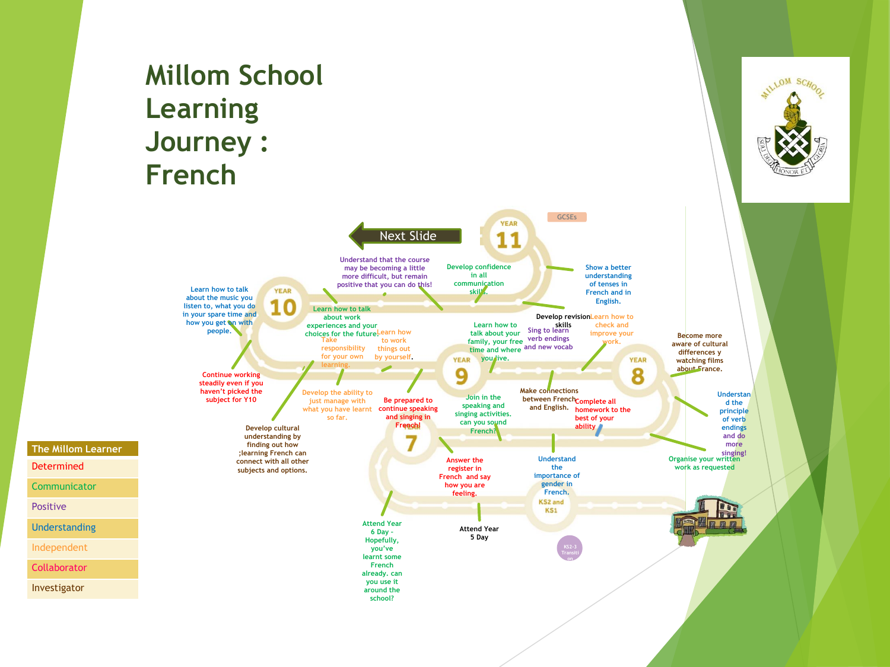## **Millom School Learning Journey : French**



ILLOM SCHOOL

Determined **Communicator** 

**The Millom Learner**

Positive

Understanding

Independent

**Collaborator** 

Investigator